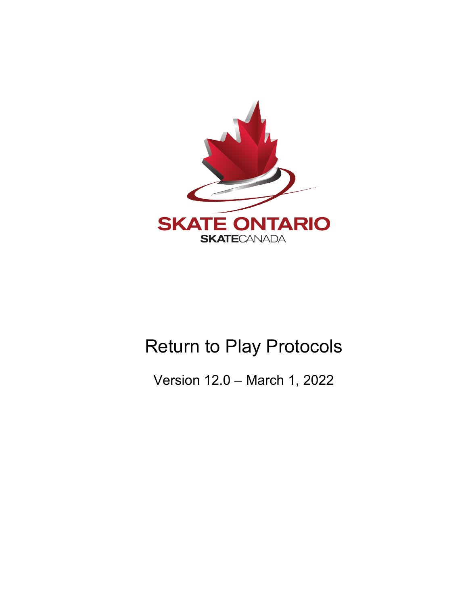

# Return to Play Protocols

Version 12.0 – March 1, 2022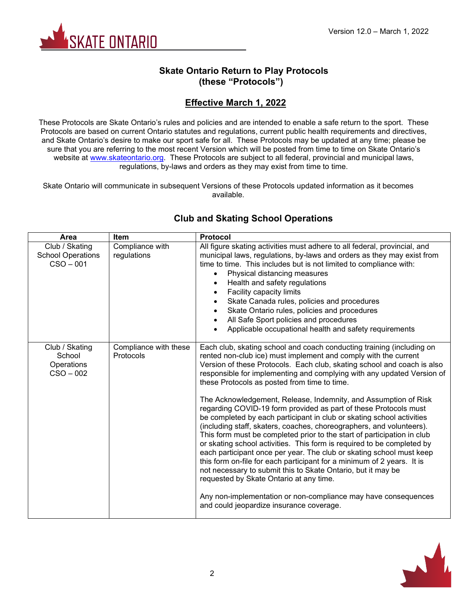

## **Skate Ontario Return to Play Protocols (these "Protocols")**

## **Effective March 1, 2022**

These Protocols are Skate Ontario's rules and policies and are intended to enable a safe return to the sport. These Protocols are based on current Ontario statutes and regulations, current public health requirements and directives, and Skate Ontario's desire to make our sport safe for all. These Protocols may be updated at any time; please be sure that you are referring to the most recent Version which will be posted from time to time on Skate Ontario's website at [www.skateontario.org.](http://www.skateontario.org/) These Protocols are subject to all federal, provincial and municipal laws, regulations, by-laws and orders as they may exist from time to time.

Skate Ontario will communicate in subsequent Versions of these Protocols updated information as it becomes available.

| Area                                                      | <b>Item</b>                        | <b>Protocol</b>                                                                                                                                                                                                                                                                                                                                                                                                                                                                                                                                                                                                                                                                                                                                                                                                                                                                                                                                                                                                                                                                                                                                                       |  |  |
|-----------------------------------------------------------|------------------------------------|-----------------------------------------------------------------------------------------------------------------------------------------------------------------------------------------------------------------------------------------------------------------------------------------------------------------------------------------------------------------------------------------------------------------------------------------------------------------------------------------------------------------------------------------------------------------------------------------------------------------------------------------------------------------------------------------------------------------------------------------------------------------------------------------------------------------------------------------------------------------------------------------------------------------------------------------------------------------------------------------------------------------------------------------------------------------------------------------------------------------------------------------------------------------------|--|--|
| Club / Skating<br><b>School Operations</b><br>$CSO - 001$ | Compliance with<br>regulations     | All figure skating activities must adhere to all federal, provincial, and<br>municipal laws, regulations, by-laws and orders as they may exist from<br>time to time. This includes but is not limited to compliance with:<br>Physical distancing measures<br>Health and safety regulations<br>Facility capacity limits<br>Skate Canada rules, policies and procedures<br>$\bullet$<br>Skate Ontario rules, policies and procedures<br>All Safe Sport policies and procedures<br>Applicable occupational health and safety requirements                                                                                                                                                                                                                                                                                                                                                                                                                                                                                                                                                                                                                                |  |  |
| Club / Skating<br>School<br>Operations<br>$CSO - 002$     | Compliance with these<br>Protocols | Each club, skating school and coach conducting training (including on<br>rented non-club ice) must implement and comply with the current<br>Version of these Protocols. Each club, skating school and coach is also<br>responsible for implementing and complying with any updated Version of<br>these Protocols as posted from time to time.<br>The Acknowledgement, Release, Indemnity, and Assumption of Risk<br>regarding COVID-19 form provided as part of these Protocols must<br>be completed by each participant in club or skating school activities<br>(including staff, skaters, coaches, choreographers, and volunteers).<br>This form must be completed prior to the start of participation in club<br>or skating school activities. This form is required to be completed by<br>each participant once per year. The club or skating school must keep<br>this form on-file for each participant for a minimum of 2 years. It is<br>not necessary to submit this to Skate Ontario, but it may be<br>requested by Skate Ontario at any time.<br>Any non-implementation or non-compliance may have consequences<br>and could jeopardize insurance coverage. |  |  |

## **Club and Skating School Operations**

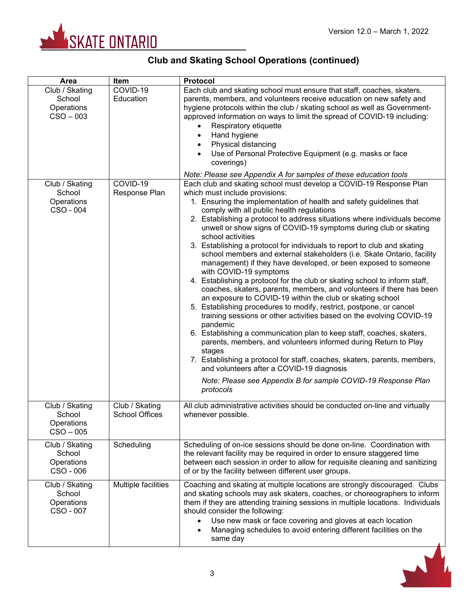

| Area                                                  | Item                                    | Protocol                                                                                                                                                                                                                                                                                                                                                                                                                                                                                                                                                                                                                                                                                                                                                                                                                                                                                                                                                                                                                                                                                                                                                                                                                                                                                                                                                                                     |  |
|-------------------------------------------------------|-----------------------------------------|----------------------------------------------------------------------------------------------------------------------------------------------------------------------------------------------------------------------------------------------------------------------------------------------------------------------------------------------------------------------------------------------------------------------------------------------------------------------------------------------------------------------------------------------------------------------------------------------------------------------------------------------------------------------------------------------------------------------------------------------------------------------------------------------------------------------------------------------------------------------------------------------------------------------------------------------------------------------------------------------------------------------------------------------------------------------------------------------------------------------------------------------------------------------------------------------------------------------------------------------------------------------------------------------------------------------------------------------------------------------------------------------|--|
| Club / Skating<br>School<br>Operations<br>$CSO - 003$ | COVID-19<br>Education                   | Each club and skating school must ensure that staff, coaches, skaters,<br>parents, members, and volunteers receive education on new safety and<br>hygiene protocols within the club / skating school as well as Government-<br>approved information on ways to limit the spread of COVID-19 including:<br>Respiratory etiquette<br>Hand hygiene<br>$\bullet$<br>Physical distancing<br>$\bullet$<br>Use of Personal Protective Equipment (e.g. masks or face<br>coverings)                                                                                                                                                                                                                                                                                                                                                                                                                                                                                                                                                                                                                                                                                                                                                                                                                                                                                                                   |  |
|                                                       |                                         | Note: Please see Appendix A for samples of these education tools                                                                                                                                                                                                                                                                                                                                                                                                                                                                                                                                                                                                                                                                                                                                                                                                                                                                                                                                                                                                                                                                                                                                                                                                                                                                                                                             |  |
| Club / Skating<br>School<br>Operations<br>CSO - 004   | $COVID-19$<br>Response Plan             | Each club and skating school must develop a COVID-19 Response Plan<br>which must include provisions:<br>1. Ensuring the implementation of health and safety guidelines that<br>comply with all public health regulations<br>2. Establishing a protocol to address situations where individuals become<br>unwell or show signs of COVID-19 symptoms during club or skating<br>school activities<br>3. Establishing a protocol for individuals to report to club and skating<br>school members and external stakeholders (i.e. Skate Ontario, facility<br>management) if they have developed, or been exposed to someone<br>with COVID-19 symptoms<br>4. Establishing a protocol for the club or skating school to inform staff,<br>coaches, skaters, parents, members, and volunteers if there has been<br>an exposure to COVID-19 within the club or skating school<br>5. Establishing procedures to modify, restrict, postpone, or cancel<br>training sessions or other activities based on the evolving COVID-19<br>pandemic<br>6. Establishing a communication plan to keep staff, coaches, skaters,<br>parents, members, and volunteers informed during Return to Play<br>stages<br>7. Establishing a protocol for staff, coaches, skaters, parents, members,<br>and volunteers after a COVID-19 diagnosis<br>Note: Please see Appendix B for sample COVID-19 Response Plan<br>protocols |  |
| Club / Skating<br>School<br>Operations<br>$CSO - 005$ | Club / Skating<br><b>School Offices</b> | All club administrative activities should be conducted on-line and virtually<br>whenever possible.                                                                                                                                                                                                                                                                                                                                                                                                                                                                                                                                                                                                                                                                                                                                                                                                                                                                                                                                                                                                                                                                                                                                                                                                                                                                                           |  |
| Club / Skating<br>School<br>Operations<br>CSO - 006   | Scheduling                              | Scheduling of on-ice sessions should be done on-line. Coordination with<br>the relevant facility may be required in order to ensure staggered time<br>between each session in order to allow for requisite cleaning and sanitizing<br>of or by the facility between different user groups.                                                                                                                                                                                                                                                                                                                                                                                                                                                                                                                                                                                                                                                                                                                                                                                                                                                                                                                                                                                                                                                                                                   |  |
| Club / Skating<br>School<br>Operations<br>CSO - 007   | Multiple facilities                     | Coaching and skating at multiple locations are strongly discouraged. Clubs<br>and skating schools may ask skaters, coaches, or choreographers to inform<br>them if they are attending training sessions in multiple locations. Individuals<br>should consider the following:<br>Use new mask or face covering and gloves at each location<br>$\bullet$<br>Managing schedules to avoid entering different facilities on the<br>$\bullet$<br>same day                                                                                                                                                                                                                                                                                                                                                                                                                                                                                                                                                                                                                                                                                                                                                                                                                                                                                                                                          |  |

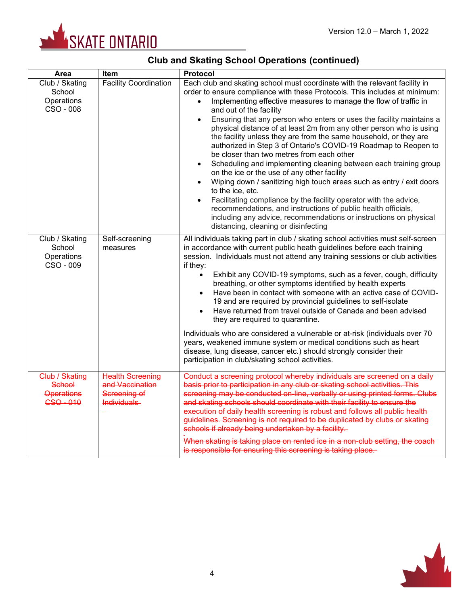

| Area                                                     | Item                                                                      | Protocol                                                                                                                                                                                                                                                                                                                                                                                                                                                                                                                                                                                                                                                                                                                                                                                                                                                                                                                                                                                                                                                                                |  |  |  |
|----------------------------------------------------------|---------------------------------------------------------------------------|-----------------------------------------------------------------------------------------------------------------------------------------------------------------------------------------------------------------------------------------------------------------------------------------------------------------------------------------------------------------------------------------------------------------------------------------------------------------------------------------------------------------------------------------------------------------------------------------------------------------------------------------------------------------------------------------------------------------------------------------------------------------------------------------------------------------------------------------------------------------------------------------------------------------------------------------------------------------------------------------------------------------------------------------------------------------------------------------|--|--|--|
| Club / Skating<br>School<br>Operations<br>$CSO - 008$    | <b>Facility Coordination</b>                                              | Each club and skating school must coordinate with the relevant facility in<br>order to ensure compliance with these Protocols. This includes at minimum:<br>Implementing effective measures to manage the flow of traffic in<br>and out of the facility<br>Ensuring that any person who enters or uses the facility maintains a<br>physical distance of at least 2m from any other person who is using<br>the facility unless they are from the same household, or they are<br>authorized in Step 3 of Ontario's COVID-19 Roadmap to Reopen to<br>be closer than two metres from each other<br>Scheduling and implementing cleaning between each training group<br>$\bullet$<br>on the ice or the use of any other facility<br>Wiping down / sanitizing high touch areas such as entry / exit doors<br>$\bullet$<br>to the ice, etc.<br>Facilitating compliance by the facility operator with the advice,<br>recommendations, and instructions of public health officials,<br>including any advice, recommendations or instructions on physical<br>distancing, cleaning or disinfecting |  |  |  |
| Club / Skating<br>School<br>Operations<br>CSO - 009      | Self-screening<br>measures                                                | All individuals taking part in club / skating school activities must self-screen<br>in accordance with current public heath guidelines before each training<br>session. Individuals must not attend any training sessions or club activities<br>if they:<br>Exhibit any COVID-19 symptoms, such as a fever, cough, difficulty<br>breathing, or other symptoms identified by health experts<br>Have been in contact with someone with an active case of COVID-<br>19 and are required by provincial guidelines to self-isolate<br>Have returned from travel outside of Canada and been advised<br>$\bullet$<br>they are required to quarantine.<br>Individuals who are considered a vulnerable or at-risk (individuals over 70<br>years, weakened immune system or medical conditions such as heart<br>disease, lung disease, cancer etc.) should strongly consider their<br>participation in club/skating school activities.                                                                                                                                                            |  |  |  |
| Club / Skating<br>School<br><b>Operations</b><br>CSO-010 | <b>Health Screening</b><br>and Vaccination<br>Screening of<br>Individuals | Conduct a screening protocol whereby individuals are screened on a daily<br>basis prior to participation in any club or skating school activities. This<br>screening may be conducted on-line, verbally or using printed forms. Clubs<br>and skating schools should coordinate with their facility to ensure the<br>execution of daily health screening is robust and follows all public health<br>guidelines. Screening is not required to be duplicated by clubs or skating<br>schools if already being undertaken by a facility.<br>When skating is taking place on rented ice in a non-club setting, the coach<br>is responsible for ensuring this screening is taking place.                                                                                                                                                                                                                                                                                                                                                                                                       |  |  |  |

## **Club and Skating School Operations (continued)**

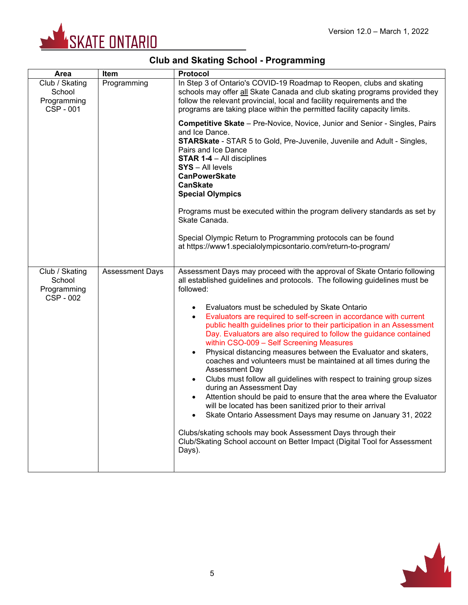

## **Club and Skating School - Programming**

| Area                                                        | Item                   | <b>Protocol</b>                                                                                                                                                                                                                                                                                                                                                                                                                                                                                                                                                                                                                                                                                                                                                                                                                                                                                                                                                                                                                                                                                                                                         |
|-------------------------------------------------------------|------------------------|---------------------------------------------------------------------------------------------------------------------------------------------------------------------------------------------------------------------------------------------------------------------------------------------------------------------------------------------------------------------------------------------------------------------------------------------------------------------------------------------------------------------------------------------------------------------------------------------------------------------------------------------------------------------------------------------------------------------------------------------------------------------------------------------------------------------------------------------------------------------------------------------------------------------------------------------------------------------------------------------------------------------------------------------------------------------------------------------------------------------------------------------------------|
| Club / Skating<br>School<br>Programming<br>CSP - 001        | Programming            | In Step 3 of Ontario's COVID-19 Roadmap to Reopen, clubs and skating<br>schools may offer all Skate Canada and club skating programs provided they<br>follow the relevant provincial, local and facility requirements and the<br>programs are taking place within the permitted facility capacity limits.                                                                                                                                                                                                                                                                                                                                                                                                                                                                                                                                                                                                                                                                                                                                                                                                                                               |
|                                                             |                        | <b>Competitive Skate</b> - Pre-Novice, Novice, Junior and Senior - Singles, Pairs<br>and Ice Dance.<br>STARSkate - STAR 5 to Gold, Pre-Juvenile, Juvenile and Adult - Singles,<br>Pairs and Ice Dance<br><b>STAR 1-4 - All disciplines</b><br>SYS - All levels<br><b>CanPowerSkate</b><br><b>CanSkate</b><br><b>Special Olympics</b><br>Programs must be executed within the program delivery standards as set by<br>Skate Canada.<br>Special Olympic Return to Programming protocols can be found<br>at https://www1.specialolympicsontario.com/return-to-program/                                                                                                                                                                                                                                                                                                                                                                                                                                                                                                                                                                                     |
|                                                             |                        |                                                                                                                                                                                                                                                                                                                                                                                                                                                                                                                                                                                                                                                                                                                                                                                                                                                                                                                                                                                                                                                                                                                                                         |
| Club / Skating<br>School<br>Programming<br><b>CSP - 002</b> | <b>Assessment Days</b> | Assessment Days may proceed with the approval of Skate Ontario following<br>all established guidelines and protocols. The following guidelines must be<br>followed:<br>Evaluators must be scheduled by Skate Ontario<br>$\bullet$<br>Evaluators are required to self-screen in accordance with current<br>public health guidelines prior to their participation in an Assessment<br>Day. Evaluators are also required to follow the guidance contained<br>within CSO-009 - Self Screening Measures<br>Physical distancing measures between the Evaluator and skaters,<br>$\bullet$<br>coaches and volunteers must be maintained at all times during the<br>Assessment Day<br>Clubs must follow all guidelines with respect to training group sizes<br>during an Assessment Day<br>Attention should be paid to ensure that the area where the Evaluator<br>will be located has been sanitized prior to their arrival<br>Skate Ontario Assessment Days may resume on January 31, 2022<br>$\bullet$<br>Clubs/skating schools may book Assessment Days through their<br>Club/Skating School account on Better Impact (Digital Tool for Assessment<br>Days). |

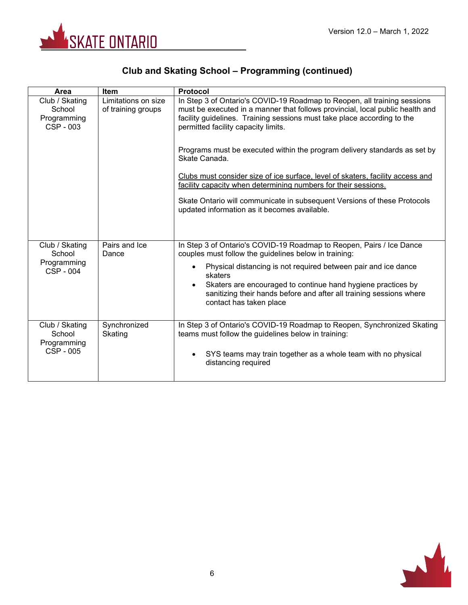

# **Club and Skating School – Programming (continued)**

| Area                                                   | Item                                      | <b>Protocol</b>                                                                                                                                                                                                                                                             |  |  |
|--------------------------------------------------------|-------------------------------------------|-----------------------------------------------------------------------------------------------------------------------------------------------------------------------------------------------------------------------------------------------------------------------------|--|--|
| Club / Skating<br>School<br>Programming<br>$CSP - 003$ | Limitations on size<br>of training groups | In Step 3 of Ontario's COVID-19 Roadmap to Reopen, all training sessions<br>must be executed in a manner that follows provincial, local public health and<br>facility guidelines. Training sessions must take place according to the<br>permitted facility capacity limits. |  |  |
|                                                        |                                           | Programs must be executed within the program delivery standards as set by<br>Skate Canada.                                                                                                                                                                                  |  |  |
|                                                        |                                           | Clubs must consider size of ice surface, level of skaters, facility access and<br>facility capacity when determining numbers for their sessions.                                                                                                                            |  |  |
|                                                        |                                           | Skate Ontario will communicate in subsequent Versions of these Protocols<br>updated information as it becomes available.                                                                                                                                                    |  |  |
| Club / Skating<br>School                               | Pairs and Ice<br>Dance                    | In Step 3 of Ontario's COVID-19 Roadmap to Reopen, Pairs / Ice Dance<br>couples must follow the guidelines below in training:                                                                                                                                               |  |  |
| Programming<br>$CSP - 004$                             |                                           | Physical distancing is not required between pair and ice dance<br>skaters<br>Skaters are encouraged to continue hand hygiene practices by<br>sanitizing their hands before and after all training sessions where<br>contact has taken place                                 |  |  |
| Club / Skating<br>School<br>Programming                | Synchronized<br>Skating                   | In Step 3 of Ontario's COVID-19 Roadmap to Reopen, Synchronized Skating<br>teams must follow the guidelines below in training:                                                                                                                                              |  |  |
| <b>CSP - 005</b>                                       |                                           | SYS teams may train together as a whole team with no physical<br>distancing required                                                                                                                                                                                        |  |  |

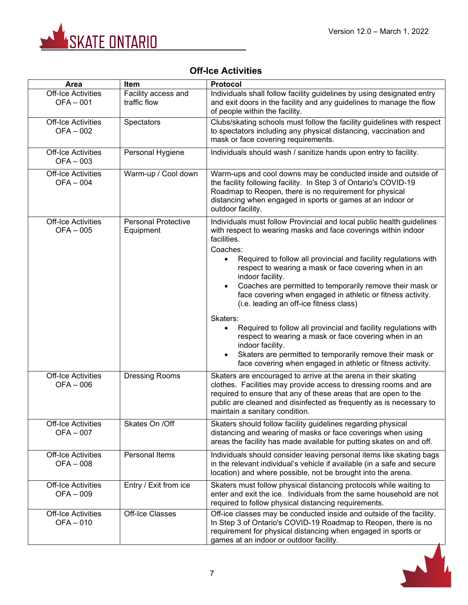

## **Off-Ice Activities**

| Area                                     | Item                                    | <b>Protocol</b>                                                                                                                                                                                                                                                                                                                                                                                                                                                                                                                                                                                                                                                                                                                                                                                |  |
|------------------------------------------|-----------------------------------------|------------------------------------------------------------------------------------------------------------------------------------------------------------------------------------------------------------------------------------------------------------------------------------------------------------------------------------------------------------------------------------------------------------------------------------------------------------------------------------------------------------------------------------------------------------------------------------------------------------------------------------------------------------------------------------------------------------------------------------------------------------------------------------------------|--|
| <b>Off-Ice Activities</b><br>$OFA - 001$ | Facility access and<br>traffic flow     | Individuals shall follow facility guidelines by using designated entry<br>and exit doors in the facility and any guidelines to manage the flow<br>of people within the facility.                                                                                                                                                                                                                                                                                                                                                                                                                                                                                                                                                                                                               |  |
| <b>Off-Ice Activities</b><br>$OFA - 002$ | Spectators                              | Clubs/skating schools must follow the facility guidelines with respect<br>to spectators including any physical distancing, vaccination and<br>mask or face covering requirements.                                                                                                                                                                                                                                                                                                                                                                                                                                                                                                                                                                                                              |  |
| <b>Off-Ice Activities</b><br>$OFA - 003$ | Personal Hygiene                        | Individuals should wash / sanitize hands upon entry to facility.                                                                                                                                                                                                                                                                                                                                                                                                                                                                                                                                                                                                                                                                                                                               |  |
| <b>Off-Ice Activities</b><br>$OFA - 004$ | Warm-up / Cool down                     | Warm-ups and cool downs may be conducted inside and outside of<br>the facility following facility. In Step 3 of Ontario's COVID-19<br>Roadmap to Reopen, there is no requirement for physical<br>distancing when engaged in sports or games at an indoor or<br>outdoor facility.                                                                                                                                                                                                                                                                                                                                                                                                                                                                                                               |  |
| <b>Off-Ice Activities</b><br>$OFA - 005$ | <b>Personal Protective</b><br>Equipment | Individuals must follow Provincial and local public health guidelines<br>with respect to wearing masks and face coverings within indoor<br>facilities.<br>Coaches:<br>Required to follow all provincial and facility regulations with<br>respect to wearing a mask or face covering when in an<br>indoor facility.<br>Coaches are permitted to temporarily remove their mask or<br>$\bullet$<br>face covering when engaged in athletic or fitness activity.<br>(i.e. leading an off-ice fitness class)<br>Skaters:<br>Required to follow all provincial and facility regulations with<br>respect to wearing a mask or face covering when in an<br>indoor facility.<br>Skaters are permitted to temporarily remove their mask or<br>face covering when engaged in athletic or fitness activity. |  |
| <b>Off-Ice Activities</b><br>$OFA - 006$ | <b>Dressing Rooms</b>                   | Skaters are encouraged to arrive at the arena in their skating<br>clothes. Facilities may provide access to dressing rooms and are<br>required to ensure that any of these areas that are open to the<br>public are cleaned and disinfected as frequently as is necessary to<br>maintain a sanitary condition.                                                                                                                                                                                                                                                                                                                                                                                                                                                                                 |  |
| <b>Off-Ice Activities</b><br>OFA-007     | Skates On /Off                          | Skaters should follow facility guidelines regarding physical<br>distancing and wearing of masks or face coverings when using<br>areas the facility has made available for putting skates on and off.                                                                                                                                                                                                                                                                                                                                                                                                                                                                                                                                                                                           |  |
| <b>Off-Ice Activities</b><br>$OFA - 008$ | Personal Items                          | Individuals should consider leaving personal items like skating bags<br>in the relevant individual's vehicle if available (in a safe and secure<br>location) and where possible, not be brought into the arena.                                                                                                                                                                                                                                                                                                                                                                                                                                                                                                                                                                                |  |
| <b>Off-Ice Activities</b><br>OFA-009     | Entry / Exit from ice                   | Skaters must follow physical distancing protocols while waiting to<br>enter and exit the ice. Individuals from the same household are not<br>required to follow physical distancing requirements.                                                                                                                                                                                                                                                                                                                                                                                                                                                                                                                                                                                              |  |
| <b>Off-Ice Activities</b><br>$OFA - 010$ | Off-Ice Classes                         | Off-ice classes may be conducted inside and outside of the facility.<br>In Step 3 of Ontario's COVID-19 Roadmap to Reopen, there is no<br>requirement for physical distancing when engaged in sports or<br>games at an indoor or outdoor facility.                                                                                                                                                                                                                                                                                                                                                                                                                                                                                                                                             |  |

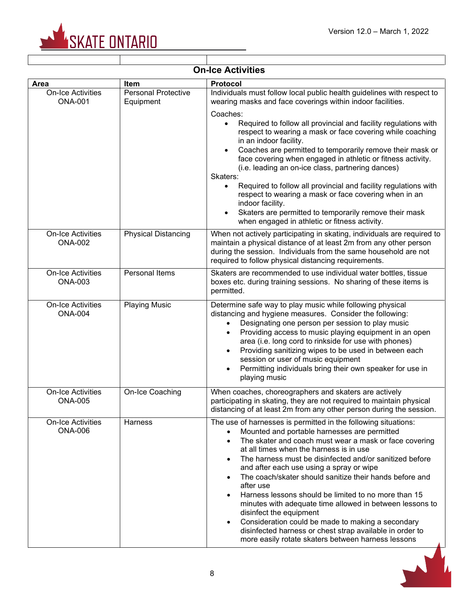

 $\overline{\phantom{a}}$ 

 $\sqrt{ }$ 

| <b>On-Ice Activities</b>                   |                                         |                                                                                                                                                                                                                                                                                                                                                                                                                                                                                                                                                                                                                                                                                                                          |  |
|--------------------------------------------|-----------------------------------------|--------------------------------------------------------------------------------------------------------------------------------------------------------------------------------------------------------------------------------------------------------------------------------------------------------------------------------------------------------------------------------------------------------------------------------------------------------------------------------------------------------------------------------------------------------------------------------------------------------------------------------------------------------------------------------------------------------------------------|--|
| <b>Area</b>                                | <b>Item</b>                             | Protocol                                                                                                                                                                                                                                                                                                                                                                                                                                                                                                                                                                                                                                                                                                                 |  |
| <b>On-Ice Activities</b><br><b>ONA-001</b> | <b>Personal Protective</b><br>Equipment | Individuals must follow local public health guidelines with respect to<br>wearing masks and face coverings within indoor facilities.                                                                                                                                                                                                                                                                                                                                                                                                                                                                                                                                                                                     |  |
|                                            |                                         | Coaches:<br>Required to follow all provincial and facility regulations with<br>$\bullet$<br>respect to wearing a mask or face covering while coaching<br>in an indoor facility.<br>Coaches are permitted to temporarily remove their mask or<br>$\bullet$<br>face covering when engaged in athletic or fitness activity.<br>(i.e. leading an on-ice class, partnering dances)<br>Skaters:<br>Required to follow all provincial and facility regulations with<br>$\bullet$<br>respect to wearing a mask or face covering when in an<br>indoor facility.<br>Skaters are permitted to temporarily remove their mask<br>$\bullet$<br>when engaged in athletic or fitness activity.                                           |  |
| <b>On-Ice Activities</b><br><b>ONA-002</b> | <b>Physical Distancing</b>              | When not actively participating in skating, individuals are required to<br>maintain a physical distance of at least 2m from any other person<br>during the session. Individuals from the same household are not<br>required to follow physical distancing requirements.                                                                                                                                                                                                                                                                                                                                                                                                                                                  |  |
| <b>On-Ice Activities</b><br><b>ONA-003</b> | Personal Items                          | Skaters are recommended to use individual water bottles, tissue<br>boxes etc. during training sessions. No sharing of these items is<br>permitted.                                                                                                                                                                                                                                                                                                                                                                                                                                                                                                                                                                       |  |
| <b>On-Ice Activities</b><br><b>ONA-004</b> | <b>Playing Music</b>                    | Determine safe way to play music while following physical<br>distancing and hygiene measures. Consider the following:<br>Designating one person per session to play music<br>Providing access to music playing equipment in an open<br>$\bullet$<br>area (i.e. long cord to rinkside for use with phones)<br>Providing sanitizing wipes to be used in between each<br>$\bullet$<br>session or user of music equipment<br>Permitting individuals bring their own speaker for use in<br>playing music                                                                                                                                                                                                                      |  |
| <b>On-Ice Activities</b><br><b>ONA-005</b> | On-Ice Coaching                         | When coaches, choreographers and skaters are actively<br>participating in skating, they are not required to maintain physical<br>distancing of at least 2m from any other person during the session.                                                                                                                                                                                                                                                                                                                                                                                                                                                                                                                     |  |
| <b>On-Ice Activities</b><br><b>ONA-006</b> | <b>Harness</b>                          | The use of harnesses is permitted in the following situations:<br>Mounted and portable harnesses are permitted<br>The skater and coach must wear a mask or face covering<br>at all times when the harness is in use<br>The harness must be disinfected and/or sanitized before<br>and after each use using a spray or wipe<br>The coach/skater should sanitize their hands before and<br>after use<br>Harness lessons should be limited to no more than 15<br>minutes with adequate time allowed in between lessons to<br>disinfect the equipment<br>Consideration could be made to making a secondary<br>disinfected harness or chest strap available in order to<br>more easily rotate skaters between harness lessons |  |

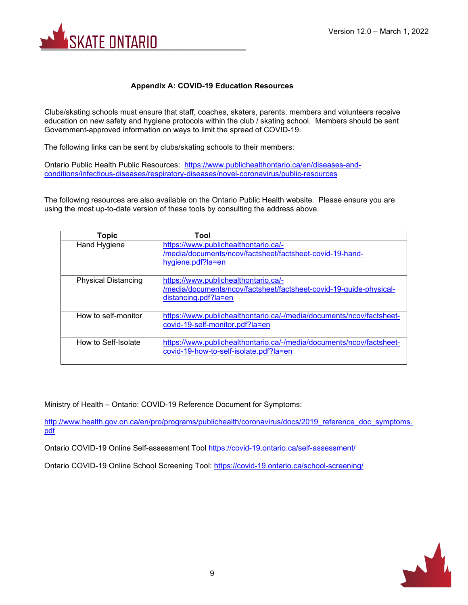

#### **Appendix A: COVID-19 Education Resources**

Clubs/skating schools must ensure that staff, coaches, skaters, parents, members and volunteers receive education on new safety and hygiene protocols within the club / skating school. Members should be sent Government-approved information on ways to limit the spread of COVID-19.

The following links can be sent by clubs/skating schools to their members:

Ontario Public Health Public Resources: [https://www.publichealthontario.ca/en/diseases-and](https://www.publichealthontario.ca/en/diseases-and-conditions/infectious-diseases/respiratory-diseases/novel-coronavirus/public-resources)[conditions/infectious-diseases/respiratory-diseases/novel-coronavirus/public-resources](https://www.publichealthontario.ca/en/diseases-and-conditions/infectious-diseases/respiratory-diseases/novel-coronavirus/public-resources)

The following resources are also available on the Ontario Public Health website. Please ensure you are using the most up-to-date version of these tools by consulting the address above.

| Topic                      | Tool                                                                                                                               |
|----------------------------|------------------------------------------------------------------------------------------------------------------------------------|
| Hand Hygiene               | https://www.publichealthontario.ca/-<br>/media/documents/ncov/factsheet/factsheet-covid-19-hand-<br>hygiene.pdf?la=en              |
| <b>Physical Distancing</b> | https://www.publichealthontario.ca/-<br>/media/documents/ncov/factsheet/factsheet-covid-19-guide-physical-<br>distancing.pdf?la=en |
| How to self-monitor        | https://www.publichealthontario.ca/-/media/documents/ncov/factsheet-<br>covid-19-self-monitor.pdf?la=en                            |
| How to Self-Isolate        | https://www.publichealthontario.ca/-/media/documents/ncov/factsheet-<br>covid-19-how-to-self-isolate.pdf?la=en                     |

Ministry of Health – Ontario: COVID-19 Reference Document for Symptoms:

[http://www.health.gov.on.ca/en/pro/programs/publichealth/coronavirus/docs/2019\\_reference\\_doc\\_symptoms.](http://www.health.gov.on.ca/en/pro/programs/publichealth/coronavirus/docs/2019_reference_doc_symptoms.pdf) [pdf](http://www.health.gov.on.ca/en/pro/programs/publichealth/coronavirus/docs/2019_reference_doc_symptoms.pdf)

Ontario COVID-19 Online Self-assessment Tool <https://covid-19.ontario.ca/self-assessment/>

Ontario COVID-19 Online School Screening Tool: <https://covid-19.ontario.ca/school-screening/>

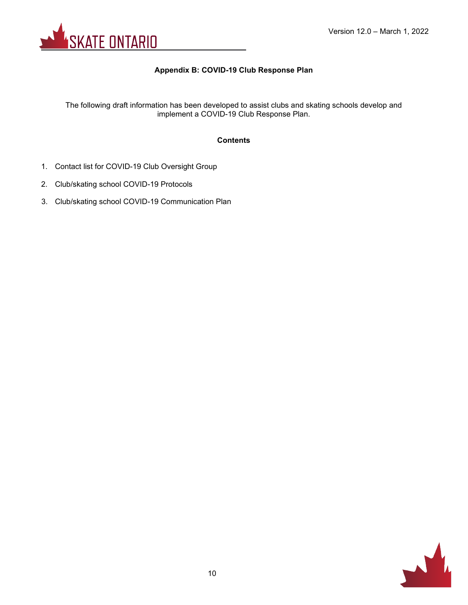

#### **Appendix B: COVID-19 Club Response Plan**

The following draft information has been developed to assist clubs and skating schools develop and implement a COVID-19 Club Response Plan.

#### **Contents**

- 1. Contact list for COVID-19 Club Oversight Group
- 2. Club/skating school COVID-19 Protocols
- 3. Club/skating school COVID-19 Communication Plan

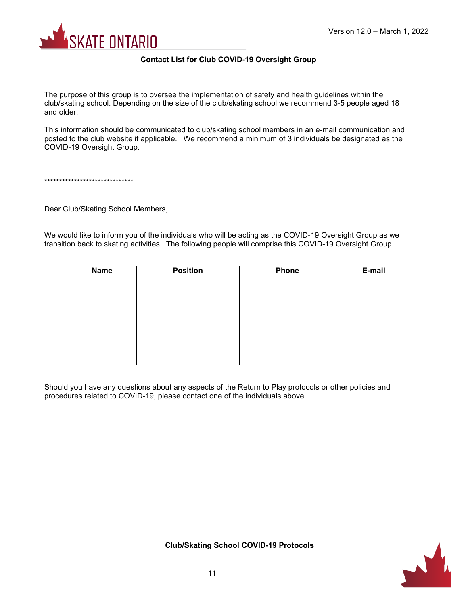

#### **Contact List for Club COVID-19 Oversight Group**

The purpose of this group is to oversee the implementation of safety and health guidelines within the club/skating school. Depending on the size of the club/skating school we recommend 3-5 people aged 18 and older.

This information should be communicated to club/skating school members in an e-mail communication and posted to the club website if applicable. We recommend a minimum of 3 individuals be designated as the COVID-19 Oversight Group.

\*\*\*\*\*\*\*\*\*\*\*\*\*\*\*\*\*\*\*\*\*\*\*\*\*\*\*\*\*\*

Dear Club/Skating School Members,

We would like to inform you of the individuals who will be acting as the COVID-19 Oversight Group as we transition back to skating activities. The following people will comprise this COVID-19 Oversight Group.

| <b>Name</b> | <b>Position</b> | <b>Phone</b> | E-mail |
|-------------|-----------------|--------------|--------|
|             |                 |              |        |
|             |                 |              |        |
|             |                 |              |        |
|             |                 |              |        |
|             |                 |              |        |
|             |                 |              |        |
|             |                 |              |        |
|             |                 |              |        |
|             |                 |              |        |
|             |                 |              |        |

Should you have any questions about any aspects of the Return to Play protocols or other policies and procedures related to COVID-19, please contact one of the individuals above.

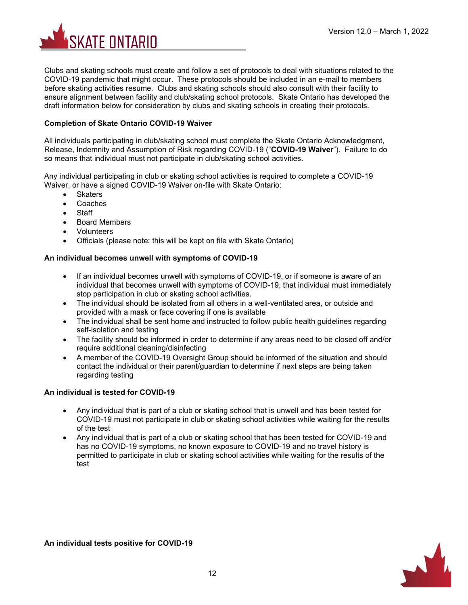

Clubs and skating schools must create and follow a set of protocols to deal with situations related to the COVID-19 pandemic that might occur. These protocols should be included in an e-mail to members before skating activities resume. Clubs and skating schools should also consult with their facility to ensure alignment between facility and club/skating school protocols. Skate Ontario has developed the draft information below for consideration by clubs and skating schools in creating their protocols.

#### **Completion of Skate Ontario COVID-19 Waiver**

All individuals participating in club/skating school must complete the Skate Ontario Acknowledgment, Release, Indemnity and Assumption of Risk regarding COVID-19 ("**COVID-19 Waiver**"). Failure to do so means that individual must not participate in club/skating school activities.

Any individual participating in club or skating school activities is required to complete a COVID-19 Waiver, or have a signed COVID-19 Waiver on-file with Skate Ontario:

- **Skaters**
- Coaches
- Staff
- Board Members
- **Volunteers**
- Officials (please note: this will be kept on file with Skate Ontario)

#### **An individual becomes unwell with symptoms of COVID-19**

- If an individual becomes unwell with symptoms of COVID-19, or if someone is aware of an individual that becomes unwell with symptoms of COVID-19, that individual must immediately stop participation in club or skating school activities.
- The individual should be isolated from all others in a well-ventilated area, or outside and provided with a mask or face covering if one is available
- The individual shall be sent home and instructed to follow public health guidelines regarding self-isolation and testing
- The facility should be informed in order to determine if any areas need to be closed off and/or require additional cleaning/disinfecting
- A member of the COVID-19 Oversight Group should be informed of the situation and should contact the individual or their parent/guardian to determine if next steps are being taken regarding testing

#### **An individual is tested for COVID-19**

- Any individual that is part of a club or skating school that is unwell and has been tested for COVID-19 must not participate in club or skating school activities while waiting for the results of the test
- Any individual that is part of a club or skating school that has been tested for COVID-19 and has no COVID-19 symptoms, no known exposure to COVID-19 and no travel history is permitted to participate in club or skating school activities while waiting for the results of the test

**An individual tests positive for COVID-19**

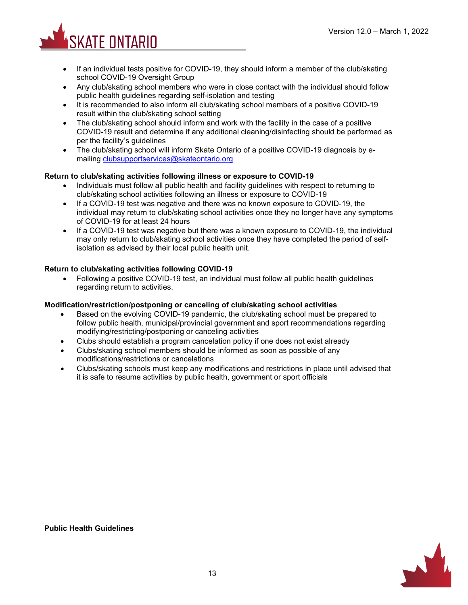**ATE ONTARIC** 

- If an individual tests positive for COVID-19, they should inform a member of the club/skating school COVID-19 Oversight Group
- Any club/skating school members who were in close contact with the individual should follow public health guidelines regarding self-isolation and testing
- It is recommended to also inform all club/skating school members of a positive COVID-19 result within the club/skating school setting
- The club/skating school should inform and work with the facility in the case of a positive COVID-19 result and determine if any additional cleaning/disinfecting should be performed as per the facility's guidelines
- The club/skating school will inform Skate Ontario of a positive COVID-19 diagnosis by emailing [clubsupportservices@skateontario.org](mailto:clubsupportservices@skateontario.org)

#### **Return to club/skating activities following illness or exposure to COVID-19**

- Individuals must follow all public health and facility guidelines with respect to returning to club/skating school activities following an illness or exposure to COVID-19
- If a COVID-19 test was negative and there was no known exposure to COVID-19, the individual may return to club/skating school activities once they no longer have any symptoms of COVID-19 for at least 24 hours
- If a COVID-19 test was negative but there was a known exposure to COVID-19, the individual may only return to club/skating school activities once they have completed the period of selfisolation as advised by their local public health unit.

#### **Return to club/skating activities following COVID-19**

• Following a positive COVID-19 test, an individual must follow all public health guidelines regarding return to activities.

#### **Modification/restriction/postponing or canceling of club/skating school activities**

- Based on the evolving COVID-19 pandemic, the club/skating school must be prepared to follow public health, municipal/provincial government and sport recommendations regarding modifying/restricting/postponing or canceling activities
- Clubs should establish a program cancelation policy if one does not exist already
- Clubs/skating school members should be informed as soon as possible of any modifications/restrictions or cancelations
- Clubs/skating schools must keep any modifications and restrictions in place until advised that it is safe to resume activities by public health, government or sport officials



**Public Health Guidelines**